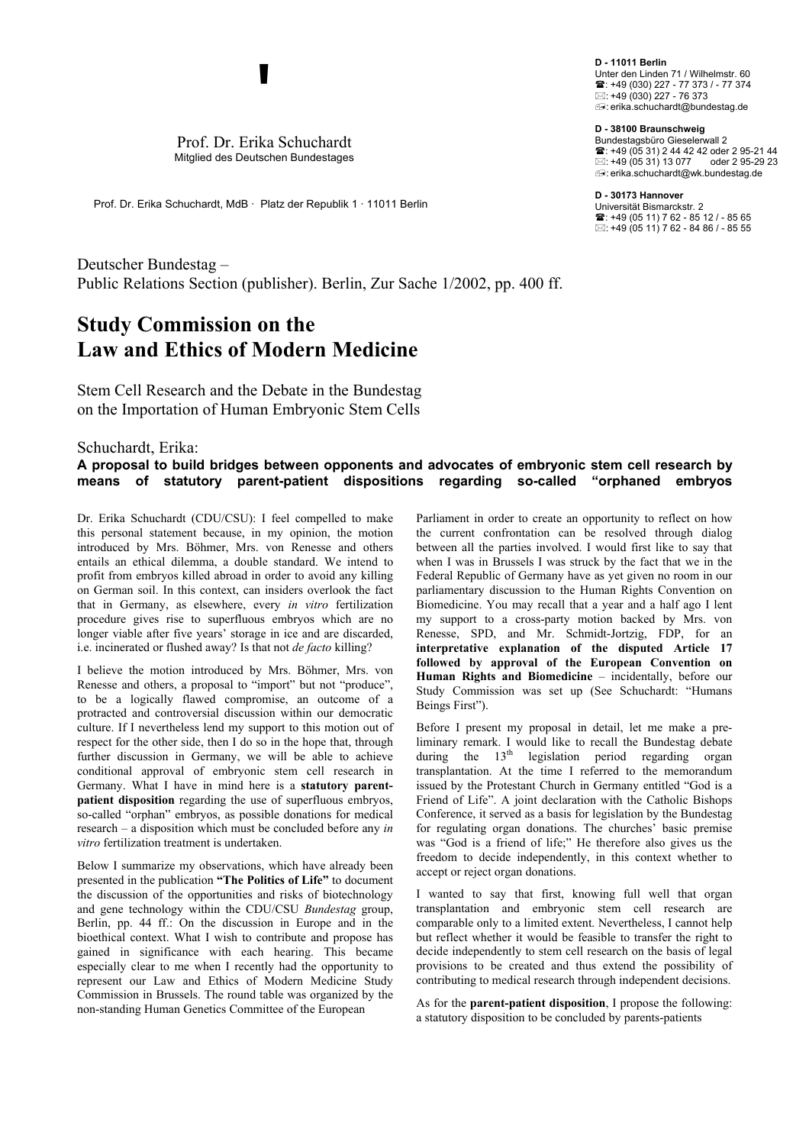Prof. Dr. Erika Schuchardt Mitglied des Deutschen Bundestages

**'** 

Prof. Dr. Erika Schuchardt, MdB · Platz der Republik 1 · 11011 Berlin

Deutscher Bundestag – Public Relations Section (publisher). Berlin, Zur Sache 1/2002, pp. 400 ff.

## **Study Commission on the Law and Ethics of Modern Medicine**

Stem Cell Research and the Debate in the Bundestag on the Importation of Human Embryonic Stem Cells

## Schuchardt, Erika: **A proposal to build bridges between opponents and advocates of embryonic stem cell research by means of statutory parent-patient dispositions regarding so-called "orphaned embryos**

Dr. Erika Schuchardt (CDU/CSU): I feel compelled to make this personal statement because, in my opinion, the motion introduced by Mrs. Böhmer, Mrs. von Renesse and others entails an ethical dilemma, a double standard. We intend to profit from embryos killed abroad in order to avoid any killing on German soil. In this context, can insiders overlook the fact that in Germany, as elsewhere, every *in vitro* fertilization procedure gives rise to superfluous embryos which are no longer viable after five years' storage in ice and are discarded, i.e. incinerated or flushed away? Is that not *de facto* killing?

I believe the motion introduced by Mrs. Böhmer, Mrs. von Renesse and others, a proposal to "import" but not "produce", to be a logically flawed compromise, an outcome of a protracted and controversial discussion within our democratic culture. If I nevertheless lend my support to this motion out of respect for the other side, then I do so in the hope that, through further discussion in Germany, we will be able to achieve conditional approval of embryonic stem cell research in Germany. What I have in mind here is a **statutory parentpatient disposition** regarding the use of superfluous embryos, so-called "orphan" embryos, as possible donations for medical research – a disposition which must be concluded before any *in vitro* fertilization treatment is undertaken.

Below I summarize my observations, which have already been accept or reject organ donations. presented in the publication **"The Politics of Life"** to document the discussion of the opportunities and risks of biotechnology and gene technology within the CDU/CSU *Bundestag* group, Berlin, pp. 44 ff.: On the discussion in Europe and in the bioethical context. What I wish to contribute and propose has gained in significance with each hearing. This became especially clear to me when I recently had the opportunity to represent our Law and Ethics of Modern Medicine Study Commission in Brussels. The round table was organized by the non-standing Human Genetics Committee of the European

Parliament in order to create an opportunity to reflect on how the current confrontation can be resolved through dialog between all the parties involved. I would first like to say that when I was in Brussels I was struck by the fact that we in the Federal Republic of Germany have as yet given no room in our parliamentary discussion to the Human Rights Convention on Biomedicine. You may recall that a year and a half ago I lent my support to a cross-party motion backed by Mrs. von Renesse, SPD, and Mr. Schmidt-Jortzig, FDP, for an **interpretative explanation of the disputed Article 17 followed by approval of the European Convention on Human Rights and Biomedicine** – incidentally, before our Study Commission was set up (See Schuchardt: "Humans Beings First").

Before I present my proposal in detail, let me make a preliminary remark. I would like to recall the Bundestag debate during the  $13<sup>th</sup>$  legislation period regarding organ transplantation. At the time I referred to the memorandum issued by the Protestant Church in Germany entitled "God is a Friend of Life". A joint declaration with the Catholic Bishops Conference, it served as a basis for legislation by the Bundestag for regulating organ donations. The churches' basic premise was "God is a friend of life;" He therefore also gives us the freedom to decide independently, in this context whether to

I wanted to say that first, knowing full well that organ transplantation and embryonic stem cell research are comparable only to a limited extent. Nevertheless, I cannot help but reflect whether it would be feasible to transfer the right to decide independently to stem cell research on the basis of legal provisions to be created and thus extend the possibility of contributing to medical research through independent decisions.

As for the **parent-patient disposition**, I propose the following: a statutory disposition to be concluded by parents-patients

**D - 11011 Berlin**  Unter den Linden 71 / Wilhelmstr. 60 : +49 (030) 227 - 77 373 / - 77 374 : +49 (030) 227 - 76 373 : erika.schuchardt@bundestag.de

**D - 38100 Braunschweig**  Bundestagsbüro Gieselerwall 2 : +49 (05 31) 2 44 42 42 oder 2 95-21 44  $\boxtimes$ : +49 (05.31) 13.077 oder 2.95-29.23 : erika.schuchardt@wk.bundestag.de

**D - 30173 Hannover** Universität Bismarckstr. 2

: +49 (05 11) 7 62 - 85 12 / - 85 65  $\boxtimes$ : +49 (05 11) 7 62 - 84 86 / - 85 55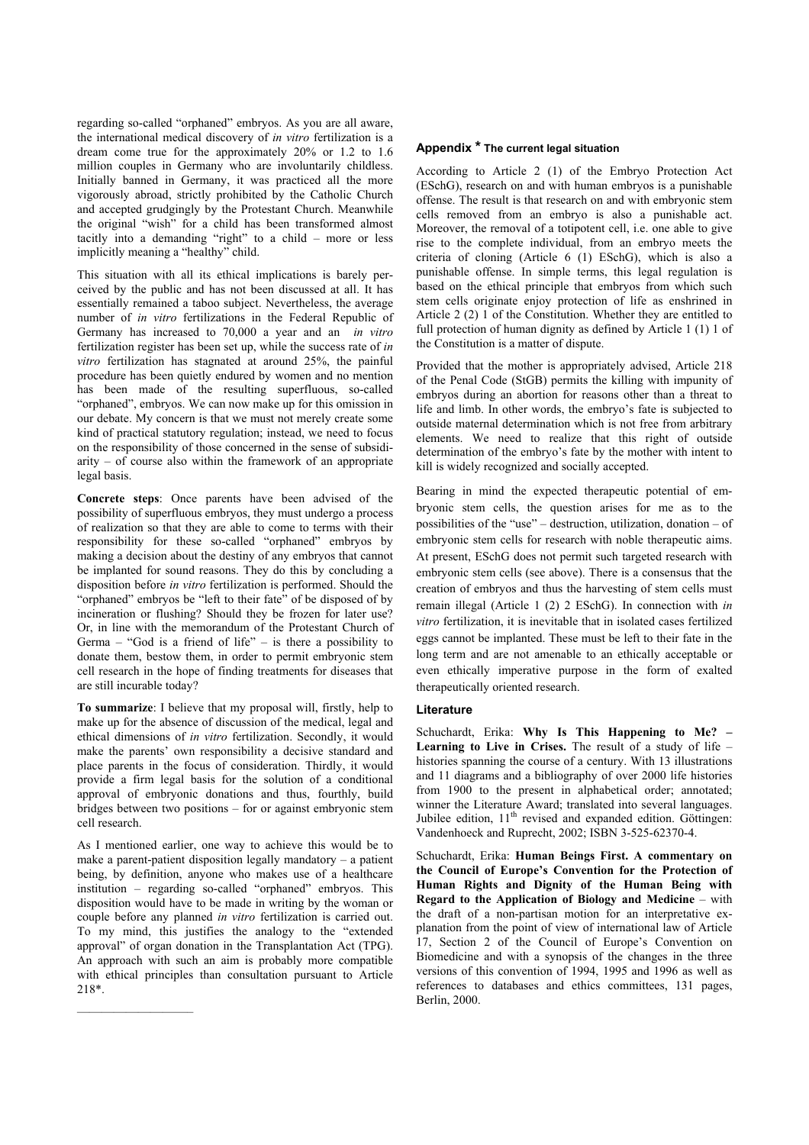regarding so-called "orphaned" embryos. As you are all aware, the international medical discovery of *in vitro* fertilization is a dream come true for the approximately 20% or 1.2 to 1.6 million couples in Germany who are involuntarily childless. Initially banned in Germany, it was practiced all the more vigorously abroad, strictly prohibited by the Catholic Church and accepted grudgingly by the Protestant Church. Meanwhile the original "wish" for a child has been transformed almost tacitly into a demanding "right" to a child – more or less implicitly meaning a "healthy" child.

This situation with all its ethical implications is barely perceived by the public and has not been discussed at all. It has essentially remained a taboo subject. Nevertheless, the average number of *in vitro* fertilizations in the Federal Republic of Germany has increased to 70,000 a year and an *in vitro* fertilization register has been set up, while the success rate of *in vitro* fertilization has stagnated at around 25%, the painful procedure has been quietly endured by women and no mention has been made of the resulting superfluous, so-called "orphaned", embryos. We can now make up for this omission in our debate. My concern is that we must not merely create some kind of practical statutory regulation; instead, we need to focus on the responsibility of those concerned in the sense of subsidiarity – of course also within the framework of an appropriate legal basis.

**Concrete steps**: Once parents have been advised of the possibility of superfluous embryos, they must undergo a process of realization so that they are able to come to terms with their responsibility for these so-called "orphaned" embryos by making a decision about the destiny of any embryos that cannot be implanted for sound reasons. They do this by concluding a disposition before *in vitro* fertilization is performed. Should the "orphaned" embryos be "left to their fate" of be disposed of by incineration or flushing? Should they be frozen for later use? Or, in line with the memorandum of the Protestant Church of Germa – "God is a friend of life" – is there a possibility to donate them, bestow them, in order to permit embryonic stem cell research in the hope of finding treatments for diseases that are still incurable today?

**To summarize**: I believe that my proposal will, firstly, help to make up for the absence of discussion of the medical, legal and ethical dimensions of *in vitro* fertilization. Secondly, it would make the parents' own responsibility a decisive standard and place parents in the focus of consideration. Thirdly, it would provide a firm legal basis for the solution of a conditional approval of embryonic donations and thus, fourthly, build bridges between two positions – for or against embryonic stem cell research.

As I mentioned earlier, one way to achieve this would be to make a parent-patient disposition legally mandatory – a patient being, by definition, anyone who makes use of a healthcare institution – regarding so-called "orphaned" embryos. This disposition would have to be made in writing by the woman or couple before any planned *in vitro* fertilization is carried out. To my mind, this justifies the analogy to the "extended approval" of organ donation in the Transplantation Act (TPG). An approach with such an aim is probably more compatible with ethical principles than consultation pursuant to Article 218\*.

—————————–

## **Appendix \* The current legal situation**

According to Article 2 (1) of the Embryo Protection Act (ESchG), research on and with human embryos is a punishable offense. The result is that research on and with embryonic stem cells removed from an embryo is also a punishable act. Moreover, the removal of a totipotent cell, i.e. one able to give rise to the complete individual, from an embryo meets the criteria of cloning (Article 6 (1) ESchG), which is also a punishable offense. In simple terms, this legal regulation is based on the ethical principle that embryos from which such stem cells originate enjoy protection of life as enshrined in Article 2 (2) 1 of the Constitution. Whether they are entitled to full protection of human dignity as defined by Article 1 (1) 1 of the Constitution is a matter of dispute.

Provided that the mother is appropriately advised, Article 218 of the Penal Code (StGB) permits the killing with impunity of embryos during an abortion for reasons other than a threat to life and limb. In other words, the embryo's fate is subjected to outside maternal determination which is not free from arbitrary elements. We need to realize that this right of outside determination of the embryo's fate by the mother with intent to kill is widely recognized and socially accepted.

Bearing in mind the expected therapeutic potential of embryonic stem cells, the question arises for me as to the possibilities of the "use" – destruction, utilization, donation – of embryonic stem cells for research with noble therapeutic aims. At present, ESchG does not permit such targeted research with embryonic stem cells (see above). There is a consensus that the creation of embryos and thus the harvesting of stem cells must remain illegal (Article 1 (2) 2 ESchG). In connection with *in vitro* fertilization, it is inevitable that in isolated cases fertilized eggs cannot be implanted. These must be left to their fate in the long term and are not amenable to an ethically acceptable or even ethically imperative purpose in the form of exalted therapeutically oriented research.

## **Literature**

Schuchardt, Erika: **Why Is This Happening to Me? – Learning to Live in Crises.** The result of a study of life – histories spanning the course of a century. With 13 illustrations and 11 diagrams and a bibliography of over 2000 life histories from 1900 to the present in alphabetical order; annotated; winner the Literature Award; translated into several languages. Jubilee edition, 11<sup>th</sup> revised and expanded edition. Göttingen: Vandenhoeck and Ruprecht, 2002; ISBN 3-525-62370-4.

Schuchardt, Erika: **Human Beings First. A commentary on the Council of Europe's Convention for the Protection of Human Rights and Dignity of the Human Being with Regard to the Application of Biology and Medicine** – with the draft of a non-partisan motion for an interpretative explanation from the point of view of international law of Article 17, Section 2 of the Council of Europe's Convention on Biomedicine and with a synopsis of the changes in the three versions of this convention of 1994, 1995 and 1996 as well as references to databases and ethics committees, 131 pages, Berlin, 2000.